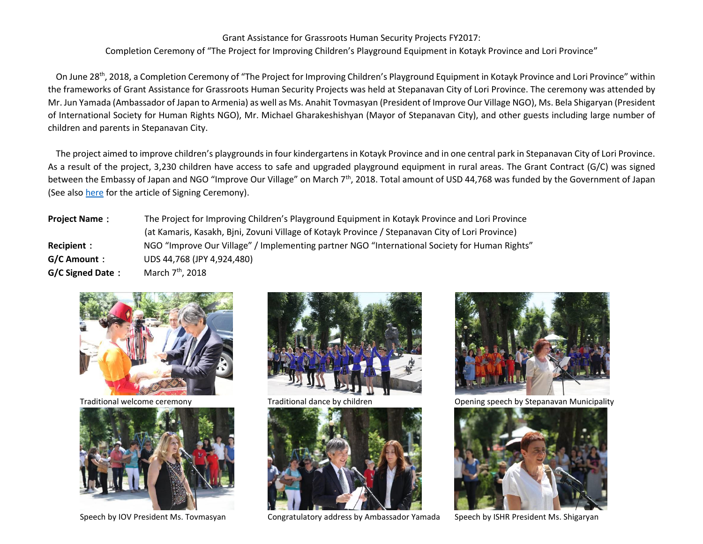## Grant Assistance for Grassroots Human Security Projects FY2017:

Completion Ceremony of "The Project for Improving Children's Playground Equipment in Kotayk Province and Lori Province"

On June 28<sup>th</sup>, 2018, a Completion Ceremony of "The Project for Improving Children's Playground Equipment in Kotayk Province and Lori Province" within the frameworks of Grant Assistance for Grassroots Human Security Projects was held at Stepanavan City of Lori Province. The ceremony was attended by Mr. Jun Yamada (Ambassador of Japan to Armenia) as well as Ms. Anahit Tovmasyan (President of Improve Our Village NGO), Ms. Bela Shigaryan (President of International Society for Human Rights NGO), Mr. Michael Gharakeshishyan (Mayor of Stepanavan City), and other guests including large number of children and parents in Stepanavan City.

The project aimed to improve children's playgrounds in four kindergartens in Kotayk Province and in one central park in Stepanavan City of Lori Province. As a result of the project, 3,230 children have access to safe and upgraded playground equipment in rural areas. The Grant Contract (G/C) was signed between the Embassy of Japan and NGO "Improve Our Village" on March 7<sup>th</sup>, 2018. Total amount of USD 44,768 was funded by the Government of Japan (See also [here](http://www.am.emb-japan.go.jp/itpr_en/b_000243.html) for the article of Signing Ceremony).

**Project Name**: The Project for Improving Children's Playground Equipment in Kotayk Province and Lori Province (at Kamaris, Kasakh, Bjni, Zovuni Village of Kotayk Province / Stepanavan City of Lori Province) **Recipient**: NGO "Improve Our Village" / Implementing partner NGO "International Society for Human Rights" **G/C Amount**: UDS 44,768 (JPY 4,924,480) **G/C Signed Date**: March 7th, 2018









Speech by IOV President Ms. Tovmasyan Congratulatory address by Ambassador Yamada Speech by ISHR President Ms. Shigaryan



Traditional welcome ceremony Traditional dance by children **Traditional Communicipality** Opening speech by Stepanavan Municipality